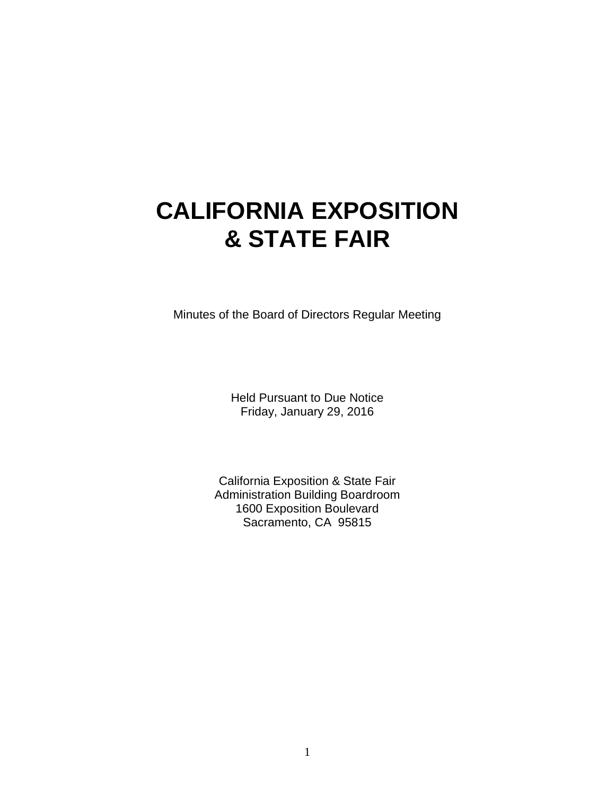# **CALIFORNIA EXPOSITION & STATE FAIR**

Minutes of the Board of Directors Regular Meeting

Held Pursuant to Due Notice Friday, January 29, 2016

California Exposition & State Fair Administration Building Boardroom 1600 Exposition Boulevard Sacramento, CA 95815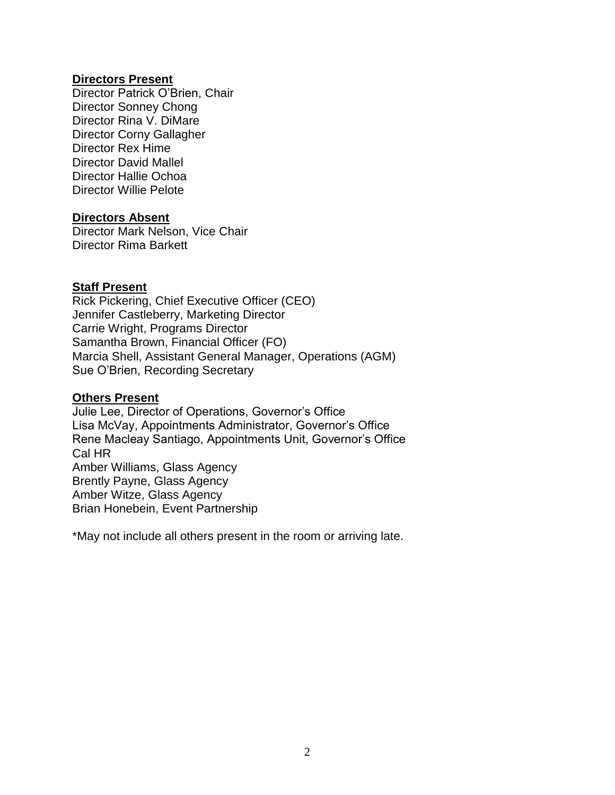## **Directors Present**

Director Patrick O'Brien, Chair Director Sonney Chong Director Rina V. DiMare Director Corny Gallagher Director Rex Hime Director David Mallel Director Hallie Ochoa Director Willie Pelote

## **Directors Absent**

Director Mark Nelson, Vice Chair Director Rima Barkett

## **Staff Present**

Rick Pickering, Chief Executive Officer (CEO) Jennifer Castleberry, Marketing Director Carrie Wright, Programs Director Samantha Brown, Financial Officer (FO) Marcia Shell, Assistant General Manager, Operations (AGM) Sue O'Brien, Recording Secretary

#### **Others Present**

Julie Lee, Director of Operations, Governor's Office Lisa McVay, Appointments Administrator, Governor's Office Rene Macleay Santiago, Appointments Unit, Governor's Office Cal HR Amber Williams, Glass Agency Brently Payne, Glass Agency Amber Witze, Glass Agency Brian Honebein, Event Partnership

\*May not include all others present in the room or arriving late.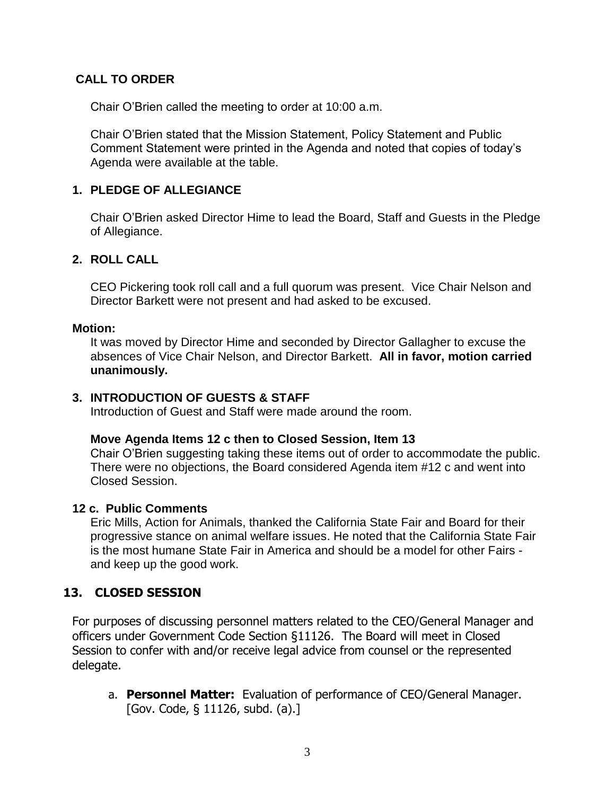# **CALL TO ORDER**

Chair O'Brien called the meeting to order at 10:00 a.m.

Chair O'Brien stated that the Mission Statement, Policy Statement and Public Comment Statement were printed in the Agenda and noted that copies of today's Agenda were available at the table.

# **1. PLEDGE OF ALLEGIANCE**

Chair O'Brien asked Director Hime to lead the Board, Staff and Guests in the Pledge of Allegiance.

## **2. ROLL CALL**

CEO Pickering took roll call and a full quorum was present. Vice Chair Nelson and Director Barkett were not present and had asked to be excused.

## **Motion:**

It was moved by Director Hime and seconded by Director Gallagher to excuse the absences of Vice Chair Nelson, and Director Barkett. **All in favor, motion carried unanimously.**

## **3. INTRODUCTION OF GUESTS & STAFF**

Introduction of Guest and Staff were made around the room.

#### **Move Agenda Items 12 c then to Closed Session, Item 13**

Chair O'Brien suggesting taking these items out of order to accommodate the public. There were no objections, the Board considered Agenda item #12 c and went into Closed Session.

## **12 c. Public Comments**

Eric Mills, Action for Animals, thanked the California State Fair and Board for their progressive stance on animal welfare issues. He noted that the California State Fair is the most humane State Fair in America and should be a model for other Fairs and keep up the good work.

# **13. CLOSED SESSION**

For purposes of discussing personnel matters related to the CEO/General Manager and officers under Government Code Section §11126. The Board will meet in Closed Session to confer with and/or receive legal advice from counsel or the represented delegate.

a. **Personnel Matter:** Evaluation of performance of CEO/General Manager. [Gov. Code, § 11126, subd. (a).]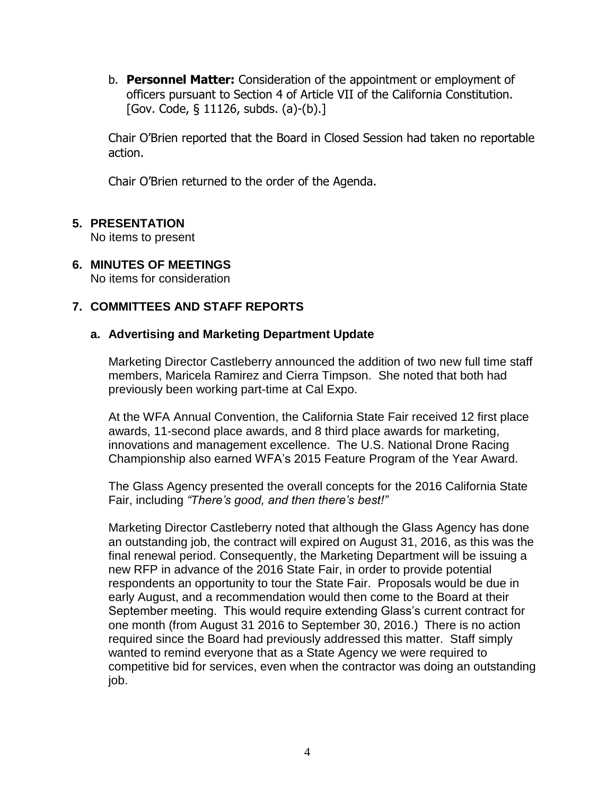b. **Personnel Matter:** Consideration of the appointment or employment of officers pursuant to Section 4 of Article VII of the California Constitution. [Gov. Code, § 11126, subds. (a)-(b).]

Chair O'Brien reported that the Board in Closed Session had taken no reportable action.

Chair O'Brien returned to the order of the Agenda.

# **5. PRESENTATION**

No items to present

# **6. MINUTES OF MEETINGS**

No items for consideration

# **7. COMMITTEES AND STAFF REPORTS**

## **a. Advertising and Marketing Department Update**

Marketing Director Castleberry announced the addition of two new full time staff members, Maricela Ramirez and Cierra Timpson. She noted that both had previously been working part-time at Cal Expo.

At the WFA Annual Convention, the California State Fair received 12 first place awards, 11-second place awards, and 8 third place awards for marketing, innovations and management excellence. The U.S. National Drone Racing Championship also earned WFA's 2015 Feature Program of the Year Award.

The Glass Agency presented the overall concepts for the 2016 California State Fair, including *"There's good, and then there's best!"*

Marketing Director Castleberry noted that although the Glass Agency has done an outstanding job, the contract will expired on August 31, 2016, as this was the final renewal period. Consequently, the Marketing Department will be issuing a new RFP in advance of the 2016 State Fair, in order to provide potential respondents an opportunity to tour the State Fair. Proposals would be due in early August, and a recommendation would then come to the Board at their September meeting. This would require extending Glass's current contract for one month (from August 31 2016 to September 30, 2016.) There is no action required since the Board had previously addressed this matter. Staff simply wanted to remind everyone that as a State Agency we were required to competitive bid for services, even when the contractor was doing an outstanding job.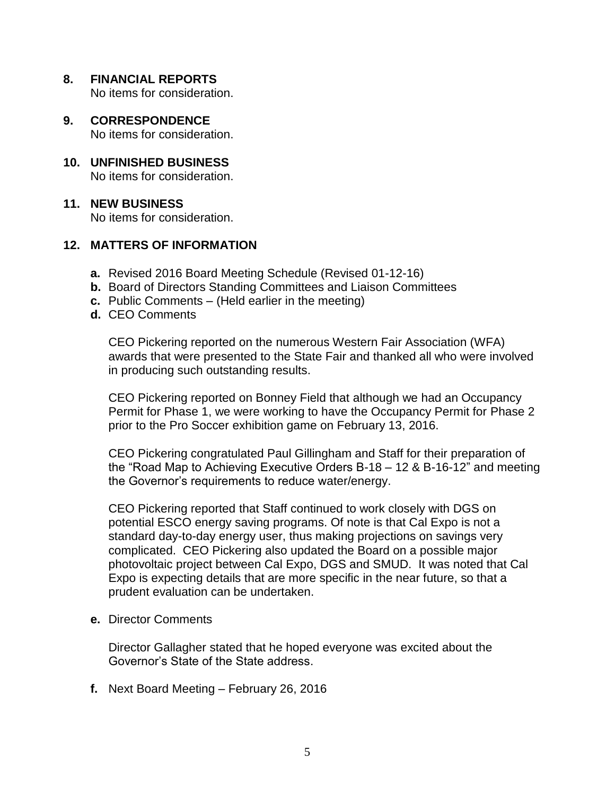**8. FINANCIAL REPORTS**

No items for consideration.

- **9. CORRESPONDENCE** No items for consideration.
- **10. UNFINISHED BUSINESS** No items for consideration.

# **11. NEW BUSINESS**

No items for consideration.

# **12. MATTERS OF INFORMATION**

- **a.** Revised 2016 Board Meeting Schedule (Revised 01-12-16)
- **b.** Board of Directors Standing Committees and Liaison Committees
- **c.** Public Comments (Held earlier in the meeting)
- **d.** CEO Comments

CEO Pickering reported on the numerous Western Fair Association (WFA) awards that were presented to the State Fair and thanked all who were involved in producing such outstanding results.

CEO Pickering reported on Bonney Field that although we had an Occupancy Permit for Phase 1, we were working to have the Occupancy Permit for Phase 2 prior to the Pro Soccer exhibition game on February 13, 2016.

CEO Pickering congratulated Paul Gillingham and Staff for their preparation of the "Road Map to Achieving Executive Orders B-18 – 12 & B-16-12" and meeting the Governor's requirements to reduce water/energy.

CEO Pickering reported that Staff continued to work closely with DGS on potential ESCO energy saving programs. Of note is that Cal Expo is not a standard day-to-day energy user, thus making projections on savings very complicated. CEO Pickering also updated the Board on a possible major photovoltaic project between Cal Expo, DGS and SMUD. It was noted that Cal Expo is expecting details that are more specific in the near future, so that a prudent evaluation can be undertaken.

**e.** Director Comments

Director Gallagher stated that he hoped everyone was excited about the Governor's State of the State address.

**f.** Next Board Meeting – February 26, 2016